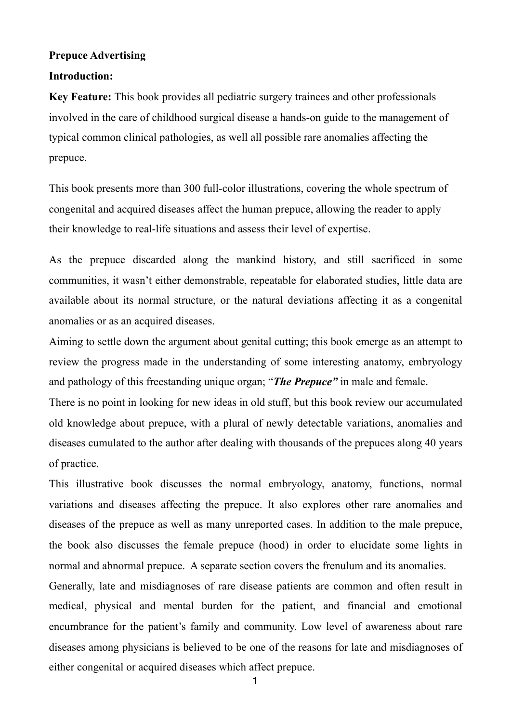### **Prepuce Advertising**

#### **Introduction:**

**Key Feature:** This book provides all pediatric surgery trainees and other professionals involved in the care of childhood surgical disease a hands-on guide to the management of typical common clinical pathologies, as well all possible rare anomalies affecting the prepuce.

This book presents more than 300 full-color illustrations, covering the whole spectrum of congenital and acquired diseases affect the human prepuce, allowing the reader to apply their knowledge to real-life situations and assess their level of expertise.

As the prepuce discarded along the mankind history, and still sacrificed in some communities, it wasn't either demonstrable, repeatable for elaborated studies, little data are available about its normal structure, or the natural deviations affecting it as a congenital anomalies or as an acquired diseases.

Aiming to settle down the argument about genital cutting; this book emerge as an attempt to review the progress made in the understanding of some interesting anatomy, embryology and pathology of this freestanding unique organ; "*The Prepuce"* in male and female.

There is no point in looking for new ideas in old stuff, but this book review our accumulated old knowledge about prepuce, with a plural of newly detectable variations, anomalies and diseases cumulated to the author after dealing with thousands of the prepuces along 40 years of practice.

This illustrative book discusses the normal embryology, anatomy, functions, normal variations and diseases affecting the prepuce. It also explores other rare anomalies and diseases of the prepuce as well as many unreported cases. In addition to the male prepuce, the book also discusses the female prepuce (hood) in order to elucidate some lights in normal and abnormal prepuce. A separate section covers the frenulum and its anomalies.

Generally, late and misdiagnoses of rare disease patients are common and often result in medical, physical and mental burden for the patient, and financial and emotional encumbrance for the patient's family and community. Low level of awareness about rare diseases among physicians is believed to be one of the reasons for late and misdiagnoses of either congenital or acquired diseases which affect prepuce.

1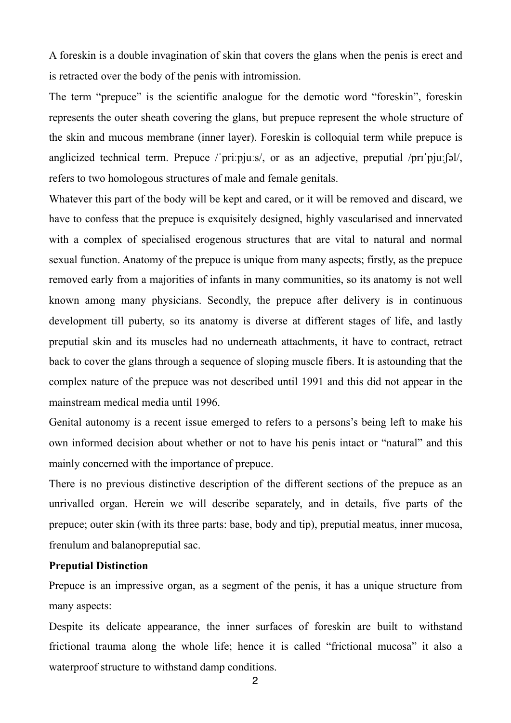A foreskin is a double invagination of skin that covers the glans when the penis is erect and is retracted over the body of the penis with intromission.

The term "prepuce" is the scientific analogue for the demotic word "foreskin", foreskin represents the outer sheath covering the glans, but prepuce represent the whole structure of the skin and mucous membrane (inner layer). Foreskin is colloquial term while prepuce is anglicized technical term. Prepuce /ˈpriːpjuːs/, or as an adjective, preputial /prɪˈpjuːʃəl/, refers to two homologous structures of male and female genitals.

Whatever this part of the body will be kept and cared, or it will be removed and discard, we have to confess that the prepuce is exquisitely designed, highly vascularised and innervated with a complex of specialised erogenous structures that are vital to natural and normal sexual function. Anatomy of the prepuce is unique from many aspects; firstly, as the prepuce removed early from a majorities of infants in many communities, so its anatomy is not well known among many physicians. Secondly, the prepuce after delivery is in continuous development till puberty, so its anatomy is diverse at different stages of life, and lastly preputial skin and its muscles had no underneath attachments, it have to contract, retract back to cover the glans through a sequence of sloping muscle fibers. It is astounding that the complex nature of the prepuce was not described until 1991 and this did not appear in the mainstream medical media until 1996.

Genital autonomy is a recent issue emerged to refers to a persons's being left to make his own informed decision about whether or not to have his penis intact or "natural" and this mainly concerned with the importance of prepuce.

There is no previous distinctive description of the different sections of the prepuce as an unrivalled organ. Herein we will describe separately, and in details, five parts of the prepuce; outer skin (with its three parts: base, body and tip), preputial meatus, inner mucosa, frenulum and balanopreputial sac.

## **Preputial Distinction**

Prepuce is an impressive organ, as a segment of the penis, it has a unique structure from many aspects:

Despite its delicate appearance, the inner surfaces of foreskin are built to withstand frictional trauma along the whole life; hence it is called "frictional mucosa" it also a waterproof structure to withstand damp conditions.

2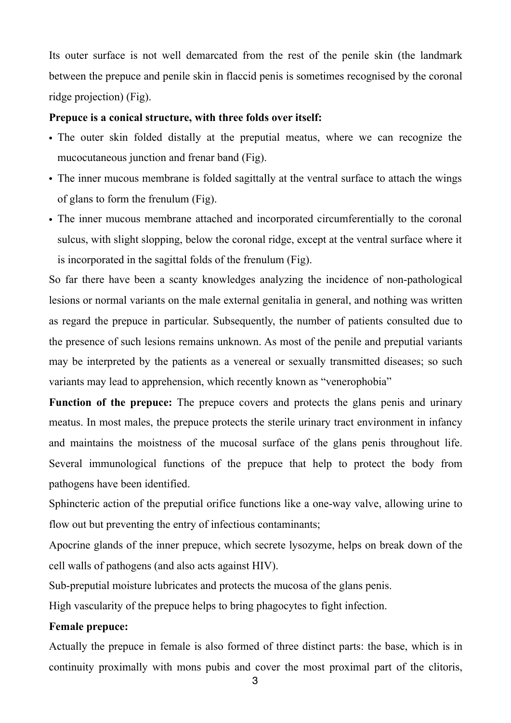Its outer surface is not well demarcated from the rest of the penile skin (the landmark between the prepuce and penile skin in flaccid penis is sometimes recognised by the coronal ridge projection) (Fig).

#### **Prepuce is a conical structure, with three folds over itself:**

- The outer skin folded distally at the preputial meatus, where we can recognize the mucocutaneous junction and frenar band (Fig).
- The inner mucous membrane is folded sagittally at the ventral surface to attach the wings of glans to form the frenulum (Fig).
- The inner mucous membrane attached and incorporated circumferentially to the coronal sulcus, with slight slopping, below the coronal ridge, except at the ventral surface where it is incorporated in the sagittal folds of the frenulum (Fig).

So far there have been a scanty knowledges analyzing the incidence of non-pathological lesions or normal variants on the male external genitalia in general, and nothing was written as regard the prepuce in particular. Subsequently, the number of patients consulted due to the presence of such lesions remains unknown. As most of the penile and preputial variants may be interpreted by the patients as a venereal or sexually transmitted diseases; so such variants may lead to apprehension, which recently known as "venerophobia"

**Function of the prepuce:** The prepuce covers and protects the glans penis and urinary meatus. In most males, the prepuce protects the sterile urinary tract environment in infancy and maintains the moistness of the mucosal surface of the glans penis throughout life. Several immunological functions of the prepuce that help to protect the body from pathogens have been identified.

Sphincteric action of the preputial orifice functions like a one-way valve, allowing urine to flow out but preventing the entry of infectious contaminants;

Apocrine glands of the inner prepuce, which secrete lysozyme, helps on break down of the cell walls of pathogens (and also acts against HIV).

Sub-preputial moisture lubricates and protects the mucosa of the glans penis.

High vascularity of the prepuce helps to bring phagocytes to fight infection.

#### **Female prepuce:**

Actually the prepuce in female is also formed of three distinct parts: the base, which is in continuity proximally with mons pubis and cover the most proximal part of the clitoris,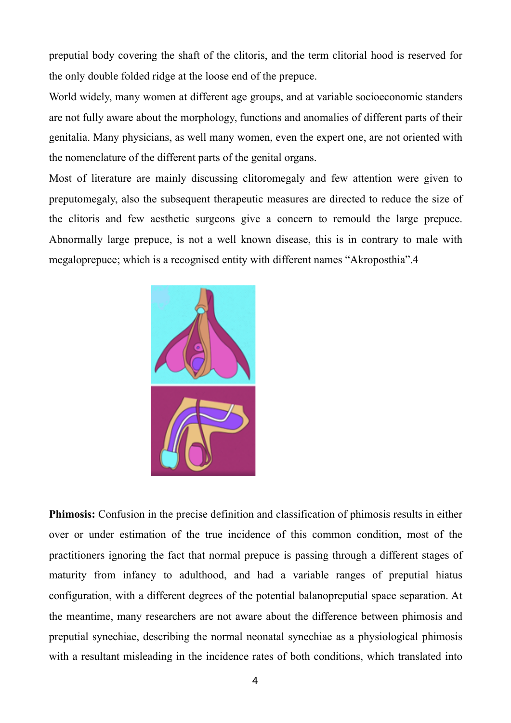preputial body covering the shaft of the clitoris, and the term clitorial hood is reserved for the only double folded ridge at the loose end of the prepuce.

World widely, many women at different age groups, and at variable socioeconomic standers are not fully aware about the morphology, functions and anomalies of different parts of their genitalia. Many physicians, as well many women, even the expert one, are not oriented with the nomenclature of the different parts of the genital organs.

Most of literature are mainly discussing clitoromegaly and few attention were given to preputomegaly, also the subsequent therapeutic measures are directed to reduce the size of the clitoris and few aesthetic surgeons give a concern to remould the large prepuce. Abnormally large prepuce, is not a well known disease, this is in contrary to male with megaloprepuce; which is a recognised entity with different names "Akroposthia".4



**Phimosis:** Confusion in the precise definition and classification of phimosis results in either over or under estimation of the true incidence of this common condition, most of the practitioners ignoring the fact that normal prepuce is passing through a different stages of maturity from infancy to adulthood, and had a variable ranges of preputial hiatus configuration, with a different degrees of the potential balanopreputial space separation. At the meantime, many researchers are not aware about the difference between phimosis and preputial synechiae, describing the normal neonatal synechiae as a physiological phimosis with a resultant misleading in the incidence rates of both conditions, which translated into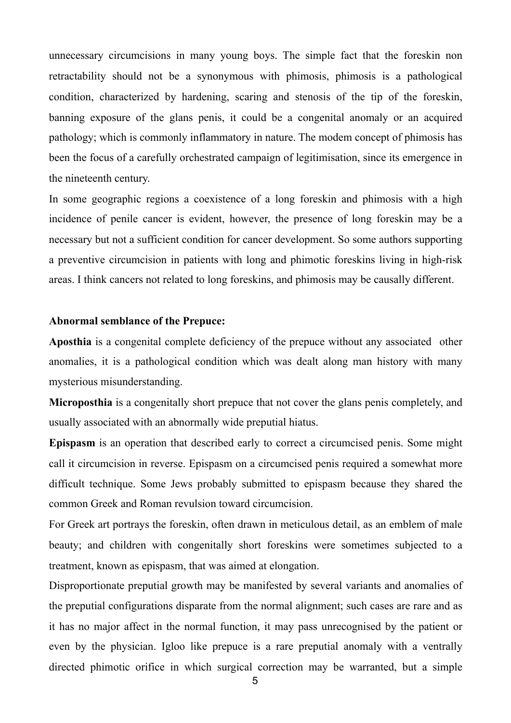unnecessary circumcisions in many young boys. The simple fact that the foreskin non retractability should not be a synonymous with phimosis, phimosis is a pathological condition, characterized by hardening, scaring and stenosis of the tip of the foreskin, banning exposure of the glans penis, it could be a congenital anomaly or an acquired pathology; which is commonly inflammatory in nature. The modem concept of phimosis has been the focus of a carefully orchestrated campaign of legitimisation, since its emergence in the nineteenth century.

In some geographic regions a coexistence of a long foreskin and phimosis with a high incidence of penile cancer is evident, however, the presence of long foreskin may be a necessary but not a sufficient condition for cancer development. So some authors supporting a preventive circumcision in patients with long and phimotic foreskins living in high-risk areas. I think cancers not related to long foreskins, and phimosis may be causally different.

#### **Abnormal semblance of the Prepuce:**

**Aposthia** is a congenital complete deficiency of the prepuce without any associated other anomalies, it is a pathological condition which was dealt along man history with many mysterious misunderstanding.

**Microposthia** is a congenitally short prepuce that not cover the glans penis completely, and usually associated with an abnormally wide preputial hiatus.

**Epispasm** is an operation that described early to correct a circumcised penis. Some might call it circumcision in reverse. Epispasm on a circumcised penis required a somewhat more difficult technique. Some Jews probably submitted to epispasm because they shared the common Greek and Roman revulsion toward circumcision.

For Greek art portrays the foreskin, often drawn in meticulous detail, as an emblem of male beauty; and children with congenitally short foreskins were sometimes subjected to a treatment, known as epispasm, that was aimed at elongation.

Disproportionate preputial growth may be manifested by several variants and anomalies of the preputial configurations disparate from the normal alignment; such cases are rare and as it has no major affect in the normal function, it may pass unrecognised by the patient or even by the physician. Igloo like prepuce is a rare preputial anomaly with a ventrally directed phimotic orifice in which surgical correction may be warranted, but a simple

5